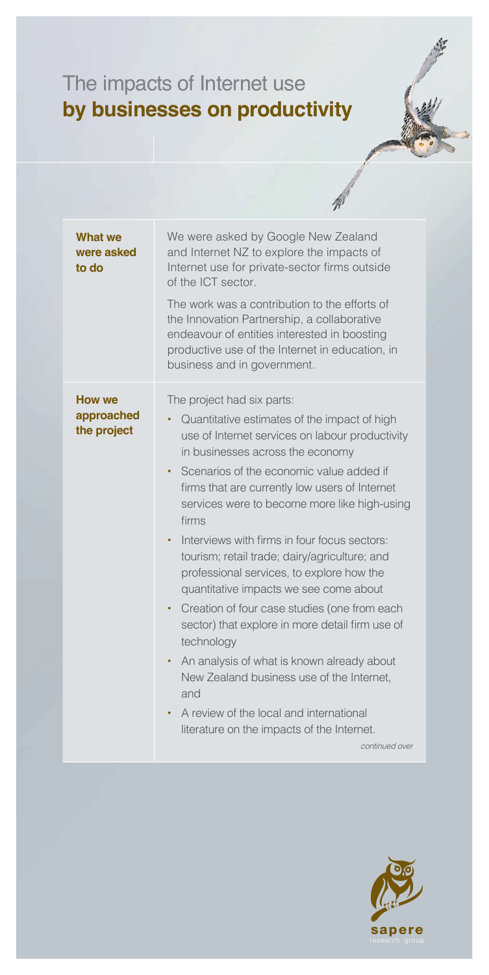## The impacts of Internet use **by businesses on productivity**